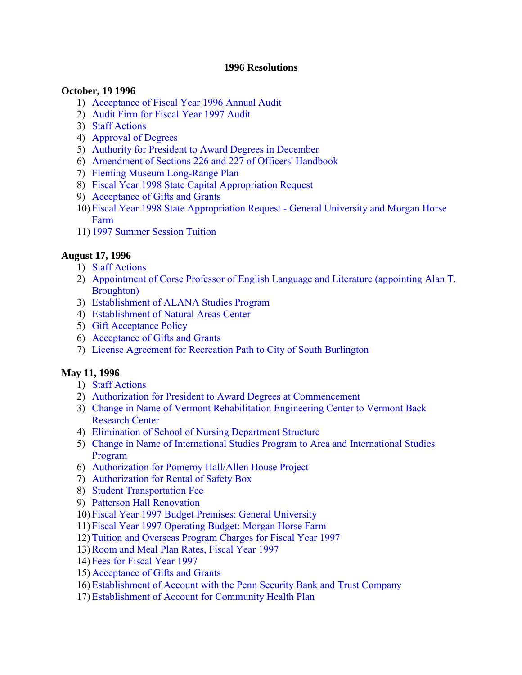#### **1996 Resolutions**

#### **October, 19 1996**

- 1) [Acceptance of Fiscal Year 1996 Annual Audit](#page-2-0)
- 2) [Audit Firm for Fiscal Year 1997 Audit](#page-2-0)
- 3) [Staff Actions](#page-2-0)
- 4) [Approval of Degrees](#page-2-0)
- 5) [Authority for President to Award Degrees in December](#page-2-0)
- 6) [Amendment of Sections 226 and 227 of Officers' Handbook](#page-2-0)
- 7) [Fleming Museum Long-Range Plan](#page-3-0)
- 8) [Fiscal Year 1998 State Capital Appropriation Request](#page-3-0)
- 9) [Acceptance of Gifts and Grants](#page-3-0)
- 10) [Fiscal Year 1998 State Appropriation Request General University and Morgan Horse](#page-3-0) Farm
- 11) [1997 Summer Session Tuition](#page-4-0)

#### **August 17, 1996**

- 1) [Staff Actions](#page-5-0)
- 2) [Appointment of Corse Professor of English Language and Literature \(appointing Alan T.](#page-5-0) Broughton)
- 3) [Establishment of ALANA Studies Program](#page-5-0)
- 4) [Establishment of Natural Areas Center](#page-5-0)
- 5) [Gift Acceptance Policy](#page-5-0)
- 6) [Acceptance of Gifts and Grants](#page-5-0)
- 7) [License Agreement for Recreation Path to City of South Burlington](#page-5-0)

#### **May 11, 1996**

- 1) [Staff Actions](#page-7-0)
- 2) [Authorization for President to Award Degrees at Commencement](#page-7-0)
- 3) [Change in Name of Vermont Rehabilitation Engineering Center to Vermont Back](#page-7-0) Research Center
- 4) [Elimination of School of Nursing Department Structure](#page-7-0)
- 5) [Change in Name of International Studies Program to Area and International Studies](#page-7-0) Program
- 6) [Authorization for Pomeroy Hall/Allen House Project](#page-8-0)
- 7) [Authorization for Rental of Safety Box](#page-8-0)
- 8) [Student Transportation Fee](#page-8-0)
- 9) [Patterson Hall Renovation](#page-8-0)
- 10) [Fiscal Year 1997 Budget Premises: General University](#page-9-0)
- 11) [Fiscal Year 1997 Operating Budget: Morgan Horse Farm](#page-9-0)
- 12) [Tuition and Overseas Program Charges for Fiscal Year 1997](#page-9-0)
- 13)[Room and Meal Plan Rates, Fiscal Year 1997](#page-10-0)
- 14) [Fees for Fiscal Year 1997](#page-10-0)
- 15) [Acceptance of Gifts and Grants](#page-10-0)
- 16) [Establishment of Account with the Penn Security Bank and Trust Company](#page-11-0)
- 17) [Establishment of Account for Community Health Plan](#page-11-0)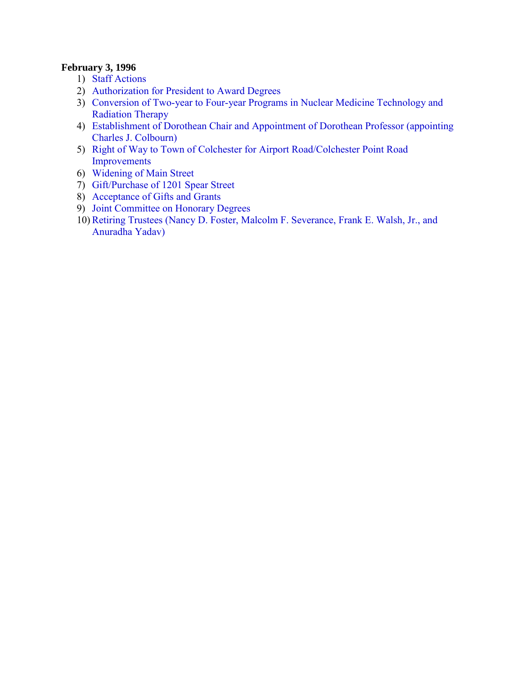## **February 3, 1996**

- 1) [Staff Actions](#page-12-0)
- 2) [Authorization for President to Award Degrees](#page-12-0)
- 3) [Conversion of Two-year to Four-year Programs in Nuclear Medicine Technology and](#page-12-0)  Radiation Therapy
- 4) [Establishment of Dorothean Chair and Appointment of Dorothean Professor \(appointing](#page-12-0) Charles J. Colbourn)
- 5) [Right of Way to Town of Colchester for Airport Road/Colchester Point Road](#page-12-0) Improvements
- 6) [Widening of Main Street](#page-13-0)
- 7) [Gift/Purchase of 1201 Spear Street](#page-14-0)
- 8) [Acceptance of Gifts and Grants](#page-15-0)
- 9) [Joint Committee on Honorary Degrees](#page-15-0)
- 10[\)Retiring Trustees \(Nancy D. Foster, Malcolm F. Severance, Frank E. Walsh, Jr., and](#page-15-0) Anuradha Yadav)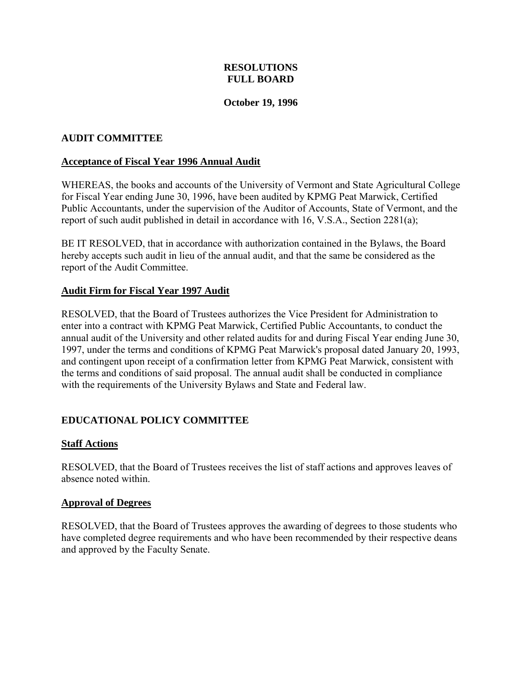#### **October 19, 1996**

#### <span id="page-2-0"></span>**AUDIT COMMITTEE**

#### **Acceptance of Fiscal Year 1996 Annual Audit**

WHEREAS, the books and accounts of the University of Vermont and State Agricultural College for Fiscal Year ending June 30, 1996, have been audited by KPMG Peat Marwick, Certified Public Accountants, under the supervision of the Auditor of Accounts, State of Vermont, and the report of such audit published in detail in accordance with 16, V.S.A., Section 2281(a);

BE IT RESOLVED, that in accordance with authorization contained in the Bylaws, the Board hereby accepts such audit in lieu of the annual audit, and that the same be considered as the report of the Audit Committee.

#### **Audit Firm for Fiscal Year 1997 Audit**

RESOLVED, that the Board of Trustees authorizes the Vice President for Administration to enter into a contract with KPMG Peat Marwick, Certified Public Accountants, to conduct the annual audit of the University and other related audits for and during Fiscal Year ending June 30, 1997, under the terms and conditions of KPMG Peat Marwick's proposal dated January 20, 1993, and contingent upon receipt of a confirmation letter from KPMG Peat Marwick, consistent with the terms and conditions of said proposal. The annual audit shall be conducted in compliance with the requirements of the University Bylaws and State and Federal law.

## **EDUCATIONAL POLICY COMMITTEE**

#### **Staff Actions**

RESOLVED, that the Board of Trustees receives the list of staff actions and approves leaves of absence noted within.

#### **Approval of Degrees**

RESOLVED, that the Board of Trustees approves the awarding of degrees to those students who have completed degree requirements and who have been recommended by their respective deans and approved by the Faculty Senate.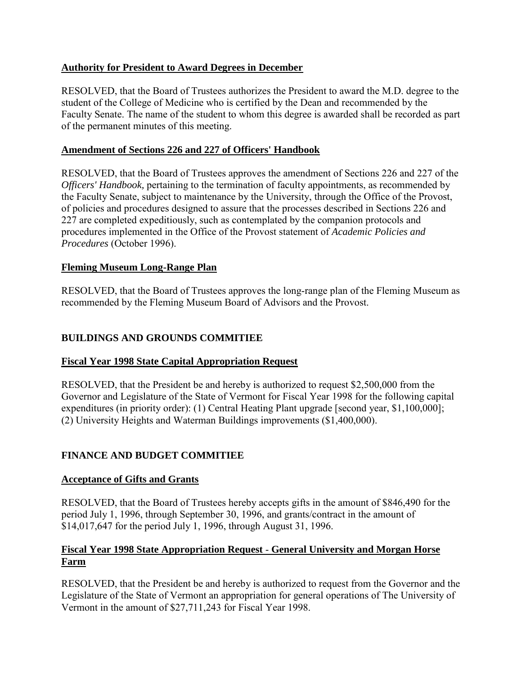# <span id="page-3-0"></span>**Authority for President to Award Degrees in December**

RESOLVED, that the Board of Trustees authorizes the President to award the M.D. degree to the student of the College of Medicine who is certified by the Dean and recommended by the Faculty Senate. The name of the student to whom this degree is awarded shall be recorded as part of the permanent minutes of this meeting.

## **Amendment of Sections 226 and 227 of Officers' Handbook**

RESOLVED, that the Board of Trustees approves the amendment of Sections 226 and 227 of the *Officers' Handbook,* pertaining to the termination of faculty appointments, as recommended by the Faculty Senate, subject to maintenance by the University, through the Office of the Provost, of policies and procedures designed to assure that the processes described in Sections 226 and 227 are completed expeditiously, such as contemplated by the companion protocols and procedures implemented in the Office of the Provost statement of *Academic Policies and Procedures* (October 1996).

# **Fleming Museum Long-Range Plan**

RESOLVED, that the Board of Trustees approves the long-range plan of the Fleming Museum as recommended by the Fleming Museum Board of Advisors and the Provost.

# **BUILDINGS AND GROUNDS COMMITIEE**

## **Fiscal Year 1998 State Capital Appropriation Request**

RESOLVED, that the President be and hereby is authorized to request \$2,500,000 from the Governor and Legislature of the State of Vermont for Fiscal Year 1998 for the following capital expenditures (in priority order): (1) Central Heating Plant upgrade [second year, \$1,100,000]; (2) University Heights and Waterman Buildings improvements (\$1,400,000).

# **FINANCE AND BUDGET COMMITIEE**

## **Acceptance of Gifts and Grants**

RESOLVED, that the Board of Trustees hereby accepts gifts in the amount of \$846,490 for the period July 1, 1996, through September 30, 1996, and grants/contract in the amount of \$14,017,647 for the period July 1, 1996, through August 31, 1996.

# **Fiscal Year 1998 State Appropriation Request** - **General University and Morgan Horse Farm**

RESOLVED, that the President be and hereby is authorized to request from the Governor and the Legislature of the State of Vermont an appropriation for general operations of The University of Vermont in the amount of \$27,711,243 for Fiscal Year 1998.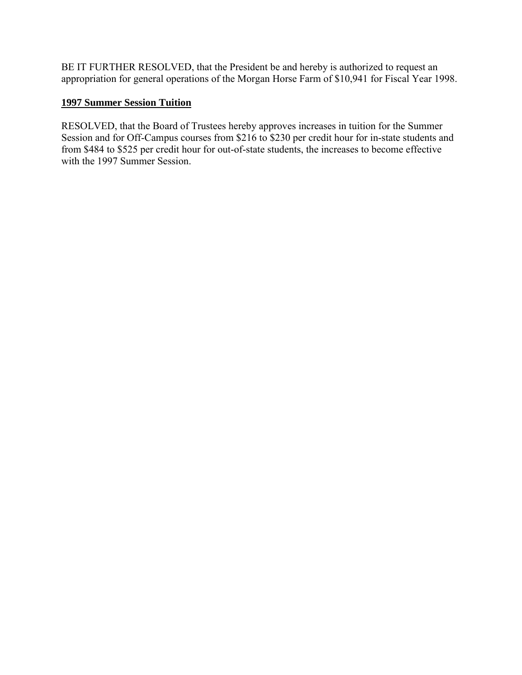<span id="page-4-0"></span>BE IT FURTHER RESOLVED, that the President be and hereby is authorized to request an appropriation for general operations of the Morgan Horse Farm of \$10,941 for Fiscal Year 1998.

# **1997 Summer Session Tuition**

RESOLVED, that the Board of Trustees hereby approves increases in tuition for the Summer Session and for Off-Campus courses from \$216 to \$230 per credit hour for in-state students and from \$484 to \$525 per credit hour for out-of-state students, the increases to become effective with the 1997 Summer Session.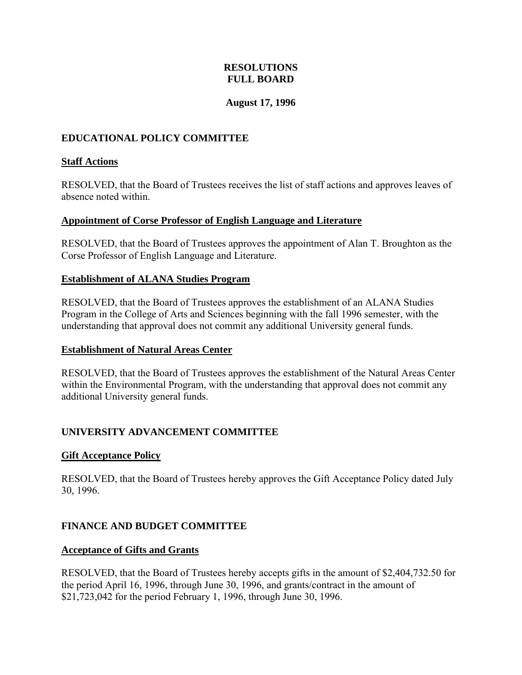## **August 17, 1996**

# <span id="page-5-0"></span>**EDUCATIONAL POLICY COMMITTEE**

#### **Staff Actions**

RESOLVED, that the Board of Trustees receives the list of staff actions and approves leaves of absence noted within.

#### **Appointment of Corse Professor of English Language and Literature**

RESOLVED, that the Board of Trustees approves the appointment of Alan T. Broughton as the Corse Professor of English Language and Literature.

#### **Establishment of ALANA Studies Program**

RESOLVED, that the Board of Trustees approves the establishment of an ALANA Studies Program in the College of Arts and Sciences beginning with the fall 1996 semester, with the understanding that approval does not commit any additional University general funds.

#### **Establishment of Natural Areas Center**

RESOLVED, that the Board of Trustees approves the establishment of the Natural Areas Center within the Environmental Program, with the understanding that approval does not commit any additional University general funds.

## **UNIVERSITY ADVANCEMENT COMMITTEE**

## **Gift Acceptance Policy**

RESOLVED, that the Board of Trustees hereby approves the Gift Acceptance Policy dated July 30, 1996.

## **FINANCE AND BUDGET COMMITTEE**

## **Acceptance of Gifts and Grants**

RESOLVED, that the Board of Trustees hereby accepts gifts in the amount of \$2,404,732.50 for the period April 16, 1996, through June 30, 1996, and grants/contract in the amount of \$21,723,042 for the period February 1, 1996, through June 30, 1996.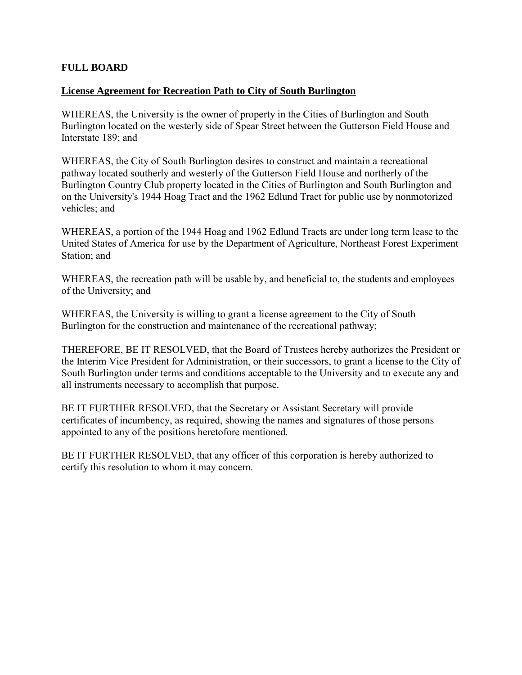## **FULL BOARD**

#### **License Agreement for Recreation Path to City of South Burlington**

WHEREAS, the University is the owner of property in the Cities of Burlington and South Burlington located on the westerly side of Spear Street between the Gutterson Field House and Interstate 189; and

WHEREAS, the City of South Burlington desires to construct and maintain a recreational pathway located southerly and westerly of the Gutterson Field House and northerly of the Burlington Country Club property located in the Cities of Burlington and South Burlington and on the University's 1944 Hoag Tract and the 1962 Edlund Tract for public use by nonmotorized vehicles; and

WHEREAS, a portion of the 1944 Hoag and 1962 Edlund Tracts are under long term lease to the United States of America for use by the Department of Agriculture, Northeast Forest Experiment Station; and

WHEREAS, the recreation path will be usable by, and beneficial to, the students and employees of the University; and

WHEREAS, the University is willing to grant a license agreement to the City of South Burlington for the construction and maintenance of the recreational pathway;

THEREFORE, BE IT RESOLVED, that the Board of Trustees hereby authorizes the President or the Interim Vice President for Administration, or their successors, to grant a license to the City of South Burlington under terms and conditions acceptable to the University and to execute any and all instruments necessary to accomplish that purpose.

BE IT FURTHER RESOLVED, that the Secretary or Assistant Secretary will provide certificates of incumbency, as required, showing the names and signatures of those persons appointed to any of the positions heretofore mentioned.

BE IT FURTHER RESOLVED, that any officer of this corporation is hereby authorized to certify this resolution to whom it may concern.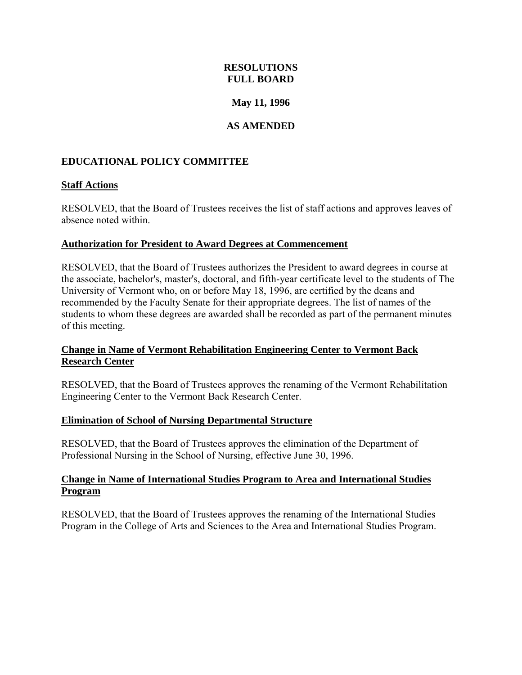## **May 11, 1996**

# **AS AMENDED**

## <span id="page-7-0"></span>**EDUCATIONAL POLICY COMMITTEE**

#### **Staff Actions**

RESOLVED, that the Board of Trustees receives the list of staff actions and approves leaves of absence noted within.

#### **Authorization for President to Award Degrees at Commencement**

RESOLVED, that the Board of Trustees authorizes the President to award degrees in course at the associate, bachelor's, master's, doctoral, and fifth-year certificate level to the students of The University of Vermont who, on or before May 18, 1996, are certified by the deans and recommended by the Faculty Senate for their appropriate degrees. The list of names of the students to whom these degrees are awarded shall be recorded as part of the permanent minutes of this meeting.

## **Change in Name of Vermont Rehabilitation Engineering Center to Vermont Back Research Center**

RESOLVED, that the Board of Trustees approves the renaming of the Vermont Rehabilitation Engineering Center to the Vermont Back Research Center.

#### **Elimination of School of Nursing Departmental Structure**

RESOLVED, that the Board of Trustees approves the elimination of the Department of Professional Nursing in the School of Nursing, effective June 30, 1996.

#### **Change in Name of International Studies Program to Area and International Studies Program**

RESOLVED, that the Board of Trustees approves the renaming of the International Studies Program in the College of Arts and Sciences to the Area and International Studies Program.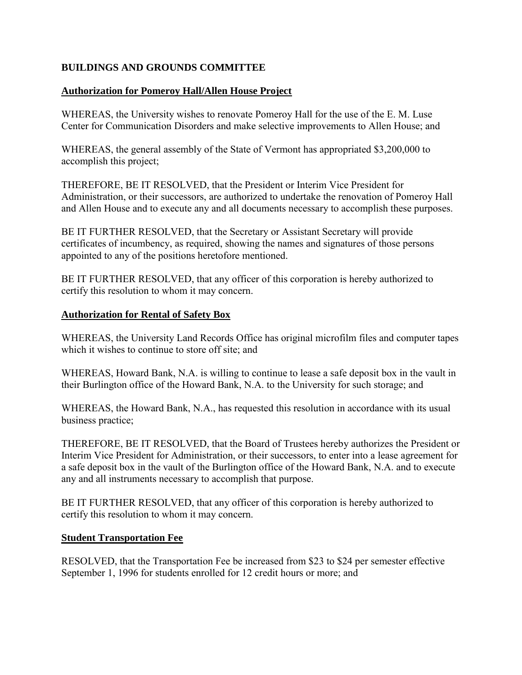# <span id="page-8-0"></span>**BUILDINGS AND GROUNDS COMMITTEE**

#### **Authorization for Pomeroy Hall/Allen House Project**

WHEREAS, the University wishes to renovate Pomeroy Hall for the use of the E. M. Luse Center for Communication Disorders and make selective improvements to Allen House; and

WHEREAS, the general assembly of the State of Vermont has appropriated \$3,200,000 to accomplish this project;

THEREFORE, BE IT RESOLVED, that the President or Interim Vice President for Administration, or their successors, are authorized to undertake the renovation of Pomeroy Hall and Allen House and to execute any and all documents necessary to accomplish these purposes.

BE IT FURTHER RESOLVED, that the Secretary or Assistant Secretary will provide certificates of incumbency, as required, showing the names and signatures of those persons appointed to any of the positions heretofore mentioned.

BE IT FURTHER RESOLVED, that any officer of this corporation is hereby authorized to certify this resolution to whom it may concern.

#### **Authorization for Rental of Safety Box**

WHEREAS, the University Land Records Office has original microfilm files and computer tapes which it wishes to continue to store off site; and

WHEREAS, Howard Bank, N.A. is willing to continue to lease a safe deposit box in the vault in their Burlington office of the Howard Bank, N.A. to the University for such storage; and

WHEREAS, the Howard Bank, N.A., has requested this resolution in accordance with its usual business practice;

THEREFORE, BE IT RESOLVED, that the Board of Trustees hereby authorizes the President or Interim Vice President for Administration, or their successors, to enter into a lease agreement for a safe deposit box in the vault of the Burlington office of the Howard Bank, N.A. and to execute any and all instruments necessary to accomplish that purpose.

BE IT FURTHER RESOLVED, that any officer of this corporation is hereby authorized to certify this resolution to whom it may concern.

#### **Student Transportation Fee**

RESOLVED, that the Transportation Fee be increased from \$23 to \$24 per semester effective September 1, 1996 for students enrolled for 12 credit hours or more; and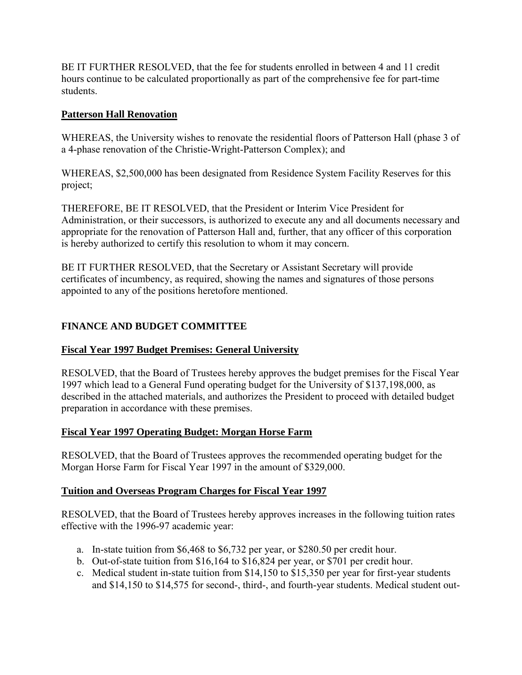<span id="page-9-0"></span>BE IT FURTHER RESOLVED, that the fee for students enrolled in between 4 and 11 credit hours continue to be calculated proportionally as part of the comprehensive fee for part-time students.

## **Patterson Hall Renovation**

WHEREAS, the University wishes to renovate the residential floors of Patterson Hall (phase 3 of a 4-phase renovation of the Christie-Wright-Patterson Complex); and

WHEREAS, \$2,500,000 has been designated from Residence System Facility Reserves for this project;

THEREFORE, BE IT RESOLVED, that the President or Interim Vice President for Administration, or their successors, is authorized to execute any and all documents necessary and appropriate for the renovation of Patterson Hall and, further, that any officer of this corporation is hereby authorized to certify this resolution to whom it may concern.

BE IT FURTHER RESOLVED, that the Secretary or Assistant Secretary will provide certificates of incumbency, as required, showing the names and signatures of those persons appointed to any of the positions heretofore mentioned.

# **FINANCE AND BUDGET COMMITTEE**

# **Fiscal Year 1997 Budget Premises: General University**

RESOLVED, that the Board of Trustees hereby approves the budget premises for the Fiscal Year 1997 which lead to a General Fund operating budget for the University of \$137,198,000, as described in the attached materials, and authorizes the President to proceed with detailed budget preparation in accordance with these premises.

# **Fiscal Year 1997 Operating Budget: Morgan Horse Farm**

RESOLVED, that the Board of Trustees approves the recommended operating budget for the Morgan Horse Farm for Fiscal Year 1997 in the amount of \$329,000.

# **Tuition and Overseas Program Charges for Fiscal Year 1997**

RESOLVED, that the Board of Trustees hereby approves increases in the following tuition rates effective with the 1996-97 academic year:

- a. In-state tuition from \$6,468 to \$6,732 per year, or \$280.50 per credit hour.
- b. Out-of-state tuition from \$16,164 to \$16,824 per year, or \$701 per credit hour.
- c. Medical student in-state tuition from \$14,150 to \$15,350 per year for first-year students and \$14,150 to \$14,575 for second-, third-, and fourth-year students. Medical student out-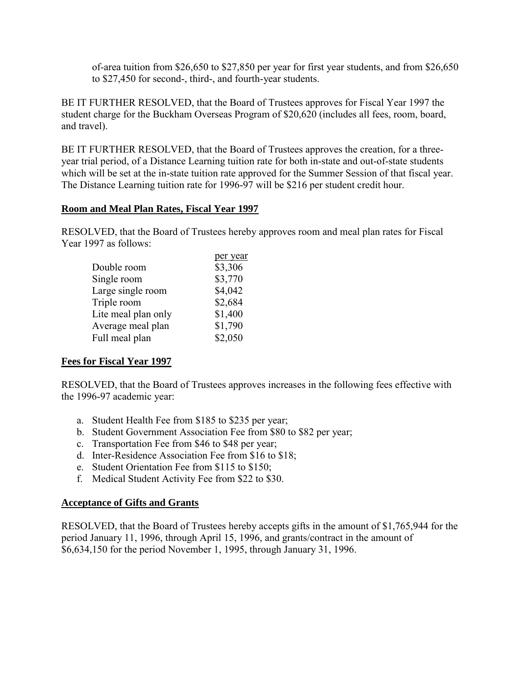<span id="page-10-0"></span>of-area tuition from \$26,650 to \$27,850 per year for first year students, and from \$26,650 to \$27,450 for second-, third-, and fourth-year students.

BE IT FURTHER RESOLVED, that the Board of Trustees approves for Fiscal Year 1997 the student charge for the Buckham Overseas Program of \$20,620 (includes all fees, room, board, and travel).

BE IT FURTHER RESOLVED, that the Board of Trustees approves the creation, for a threeyear trial period, of a Distance Learning tuition rate for both in-state and out-of-state students which will be set at the in-state tuition rate approved for the Summer Session of that fiscal year. The Distance Learning tuition rate for 1996-97 will be \$216 per student credit hour.

#### **Room and Meal Plan Rates, Fiscal Year 1997**

RESOLVED, that the Board of Trustees hereby approves room and meal plan rates for Fiscal Year 1997 as follows:

|                     | per year |
|---------------------|----------|
| Double room         | \$3,306  |
| Single room         | \$3,770  |
| Large single room   | \$4,042  |
| Triple room         | \$2,684  |
| Lite meal plan only | \$1,400  |
| Average meal plan   | \$1,790  |
| Full meal plan      | \$2,050  |
|                     |          |

## **Fees for Fiscal Year 1997**

RESOLVED, that the Board of Trustees approves increases in the following fees effective with the 1996-97 academic year:

- a. Student Health Fee from \$185 to \$235 per year;
- b. Student Government Association Fee from \$80 to \$82 per year;
- c. Transportation Fee from \$46 to \$48 per year;
- d. Inter-Residence Association Fee from \$16 to \$18;
- e. Student Orientation Fee from \$115 to \$150;
- f. Medical Student Activity Fee from \$22 to \$30.

#### **Acceptance of Gifts and Grants**

RESOLVED, that the Board of Trustees hereby accepts gifts in the amount of \$1,765,944 for the period January 11, 1996, through April 15, 1996, and grants/contract in the amount of \$6,634,150 for the period November 1, 1995, through January 31, 1996.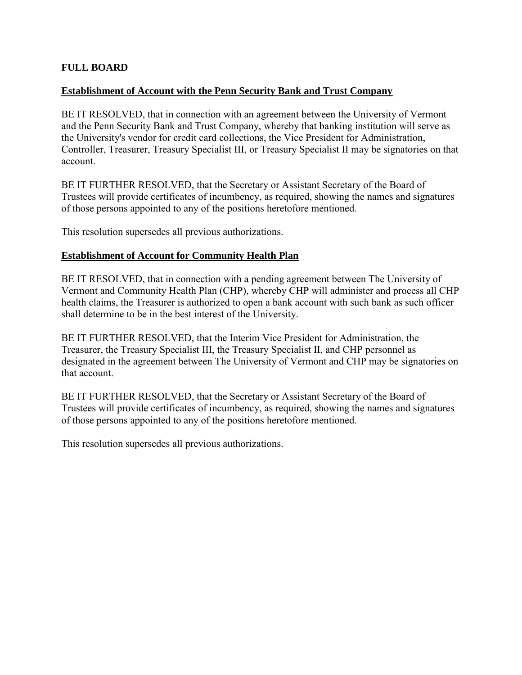## <span id="page-11-0"></span>**FULL BOARD**

## **Establishment of Account with the Penn Security Bank and Trust Company**

BE IT RESOLVED, that in connection with an agreement between the University of Vermont and the Penn Security Bank and Trust Company, whereby that banking institution will serve as the University's vendor for credit card collections, the Vice President for Administration, Controller, Treasurer, Treasury Specialist III, or Treasury Specialist II may be signatories on that account.

BE IT FURTHER RESOLVED, that the Secretary or Assistant Secretary of the Board of Trustees will provide certificates of incumbency, as required, showing the names and signatures of those persons appointed to any of the positions heretofore mentioned.

This resolution supersedes all previous authorizations.

## **Establishment of Account for Community Health Plan**

BE IT RESOLVED, that in connection with a pending agreement between The University of Vermont and Community Health Plan (CHP), whereby CHP will administer and process all CHP health claims, the Treasurer is authorized to open a bank account with such bank as such officer shall determine to be in the best interest of the University.

BE IT FURTHER RESOLVED, that the Interim Vice President for Administration, the Treasurer, the Treasury Specialist III, the Treasury Specialist II, and CHP personnel as designated in the agreement between The University of Vermont and CHP may be signatories on that account.

BE IT FURTHER RESOLVED, that the Secretary or Assistant Secretary of the Board of Trustees will provide certificates of incumbency, as required, showing the names and signatures of those persons appointed to any of the positions heretofore mentioned.

This resolution supersedes all previous authorizations.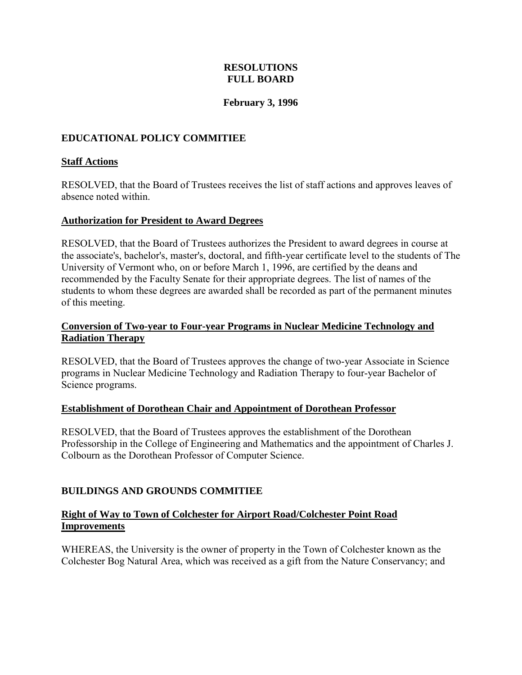## **February 3, 1996**

# <span id="page-12-0"></span>**EDUCATIONAL POLICY COMMITIEE**

## **Staff Actions**

RESOLVED, that the Board of Trustees receives the list of staff actions and approves leaves of absence noted within.

#### **Authorization for President to Award Degrees**

RESOLVED, that the Board of Trustees authorizes the President to award degrees in course at the associate's, bachelor's, master's, doctoral, and fifth-year certificate level to the students of The University of Vermont who, on or before March 1, 1996, are certified by the deans and recommended by the Faculty Senate for their appropriate degrees. The list of names of the students to whom these degrees are awarded shall be recorded as part of the permanent minutes of this meeting.

## **Conversion of Two-year to Four-year Programs in Nuclear Medicine Technology and Radiation Therapy**

RESOLVED, that the Board of Trustees approves the change of two-year Associate in Science programs in Nuclear Medicine Technology and Radiation Therapy to four-year Bachelor of Science programs.

#### **Establishment of Dorothean Chair and Appointment of Dorothean Professor**

RESOLVED, that the Board of Trustees approves the establishment of the Dorothean Professorship in the College of Engineering and Mathematics and the appointment of Charles J. Colbourn as the Dorothean Professor of Computer Science.

## **BUILDINGS AND GROUNDS COMMITIEE**

#### **Right of Way to Town of Colchester for Airport Road/Colchester Point Road Improvements**

WHEREAS, the University is the owner of property in the Town of Colchester known as the Colchester Bog Natural Area, which was received as a gift from the Nature Conservancy; and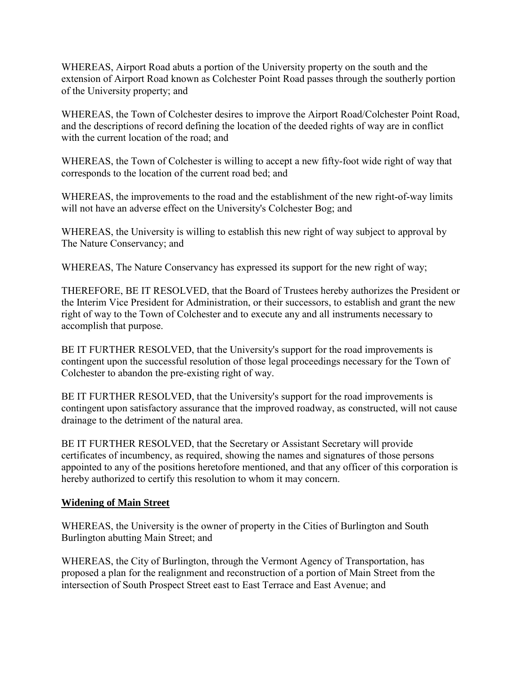<span id="page-13-0"></span>WHEREAS, Airport Road abuts a portion of the University property on the south and the extension of Airport Road known as Colchester Point Road passes through the southerly portion of the University property; and

WHEREAS, the Town of Colchester desires to improve the Airport Road/Colchester Point Road, and the descriptions of record defining the location of the deeded rights of way are in conflict with the current location of the road; and

WHEREAS, the Town of Colchester is willing to accept a new fifty-foot wide right of way that corresponds to the location of the current road bed; and

WHEREAS, the improvements to the road and the establishment of the new right-of-way limits will not have an adverse effect on the University's Colchester Bog; and

WHEREAS, the University is willing to establish this new right of way subject to approval by The Nature Conservancy; and

WHEREAS, The Nature Conservancy has expressed its support for the new right of way;

THEREFORE, BE IT RESOLVED, that the Board of Trustees hereby authorizes the President or the Interim Vice President for Administration, or their successors, to establish and grant the new right of way to the Town of Colchester and to execute any and all instruments necessary to accomplish that purpose.

BE IT FURTHER RESOLVED, that the University's support for the road improvements is contingent upon the successful resolution of those legal proceedings necessary for the Town of Colchester to abandon the pre-existing right of way.

BE IT FURTHER RESOLVED, that the University's support for the road improvements is contingent upon satisfactory assurance that the improved roadway, as constructed, will not cause drainage to the detriment of the natural area.

BE IT FURTHER RESOLVED, that the Secretary or Assistant Secretary will provide certificates of incumbency, as required, showing the names and signatures of those persons appointed to any of the positions heretofore mentioned, and that any officer of this corporation is hereby authorized to certify this resolution to whom it may concern.

## **Widening of Main Street**

WHEREAS, the University is the owner of property in the Cities of Burlington and South Burlington abutting Main Street; and

WHEREAS, the City of Burlington, through the Vermont Agency of Transportation, has proposed a plan for the realignment and reconstruction of a portion of Main Street from the intersection of South Prospect Street east to East Terrace and East Avenue; and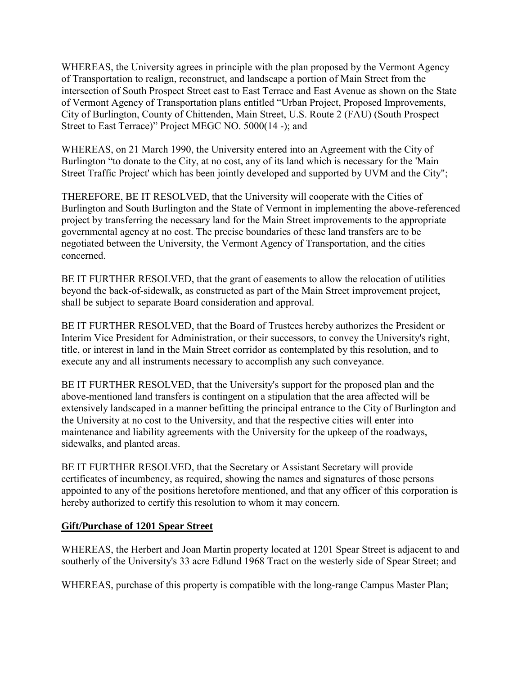<span id="page-14-0"></span>WHEREAS, the University agrees in principle with the plan proposed by the Vermont Agency of Transportation to realign, reconstruct, and landscape a portion of Main Street from the intersection of South Prospect Street east to East Terrace and East Avenue as shown on the State of Vermont Agency of Transportation plans entitled "Urban Project, Proposed Improvements, City of Burlington, County of Chittenden, Main Street, U.S. Route 2 (FAU) (South Prospect Street to East Terrace)" Project MEGC NO. 5000(14 -); and

WHEREAS, on 21 March 1990, the University entered into an Agreement with the City of Burlington "to donate to the City, at no cost, any of its land which is necessary for the 'Main Street Traffic Project' which has been jointly developed and supported by UVM and the City";

THEREFORE, BE IT RESOLVED, that the University will cooperate with the Cities of Burlington and South Burlington and the State of Vermont in implementing the above-referenced project by transferring the necessary land for the Main Street improvements to the appropriate governmental agency at no cost. The precise boundaries of these land transfers are to be negotiated between the University, the Vermont Agency of Transportation, and the cities concerned.

BE IT FURTHER RESOLVED, that the grant of easements to allow the relocation of utilities beyond the back-of-sidewalk, as constructed as part of the Main Street improvement project, shall be subject to separate Board consideration and approval.

BE IT FURTHER RESOLVED, that the Board of Trustees hereby authorizes the President or Interim Vice President for Administration, or their successors, to convey the University's right, title, or interest in land in the Main Street corridor as contemplated by this resolution, and to execute any and all instruments necessary to accomplish any such conveyance.

BE IT FURTHER RESOLVED, that the University's support for the proposed plan and the above-mentioned land transfers is contingent on a stipulation that the area affected will be extensively landscaped in a manner befitting the principal entrance to the City of Burlington and the University at no cost to the University, and that the respective cities will enter into maintenance and liability agreements with the University for the upkeep of the roadways, sidewalks, and planted areas.

BE IT FURTHER RESOLVED, that the Secretary or Assistant Secretary will provide certificates of incumbency, as required, showing the names and signatures of those persons appointed to any of the positions heretofore mentioned, and that any officer of this corporation is hereby authorized to certify this resolution to whom it may concern.

## **Gift/Purchase of 1201 Spear Street**

WHEREAS, the Herbert and Joan Martin property located at 1201 Spear Street is adjacent to and southerly of the University's 33 acre Edlund 1968 Tract on the westerly side of Spear Street; and

WHEREAS, purchase of this property is compatible with the long-range Campus Master Plan;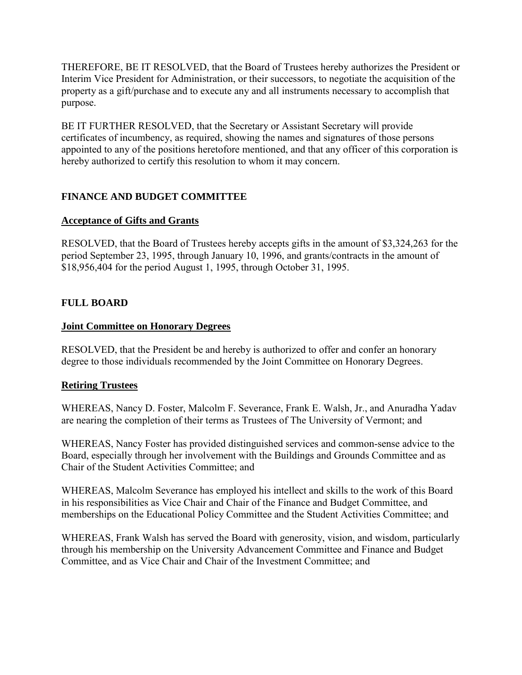<span id="page-15-0"></span>THEREFORE, BE IT RESOLVED, that the Board of Trustees hereby authorizes the President or Interim Vice President for Administration, or their successors, to negotiate the acquisition of the property as a gift/purchase and to execute any and all instruments necessary to accomplish that purpose.

BE IT FURTHER RESOLVED, that the Secretary or Assistant Secretary will provide certificates of incumbency, as required, showing the names and signatures of those persons appointed to any of the positions heretofore mentioned, and that any officer of this corporation is hereby authorized to certify this resolution to whom it may concern.

# **FINANCE AND BUDGET COMMITTEE**

# **Acceptance of Gifts and Grants**

RESOLVED, that the Board of Trustees hereby accepts gifts in the amount of \$3,324,263 for the period September 23, 1995, through January 10, 1996, and grants/contracts in the amount of \$18,956,404 for the period August 1, 1995, through October 31, 1995.

# **FULL BOARD**

# **Joint Committee on Honorary Degrees**

RESOLVED, that the President be and hereby is authorized to offer and confer an honorary degree to those individuals recommended by the Joint Committee on Honorary Degrees.

## **Retiring Trustees**

WHEREAS, Nancy D. Foster, Malcolm F. Severance, Frank E. Walsh, Jr., and Anuradha Yadav are nearing the completion of their terms as Trustees of The University of Vermont; and

WHEREAS, Nancy Foster has provided distinguished services and common-sense advice to the Board, especially through her involvement with the Buildings and Grounds Committee and as Chair of the Student Activities Committee; and

WHEREAS, Malcolm Severance has employed his intellect and skills to the work of this Board in his responsibilities as Vice Chair and Chair of the Finance and Budget Committee, and memberships on the Educational Policy Committee and the Student Activities Committee; and

WHEREAS, Frank Walsh has served the Board with generosity, vision, and wisdom, particularly through his membership on the University Advancement Committee and Finance and Budget Committee, and as Vice Chair and Chair of the Investment Committee; and